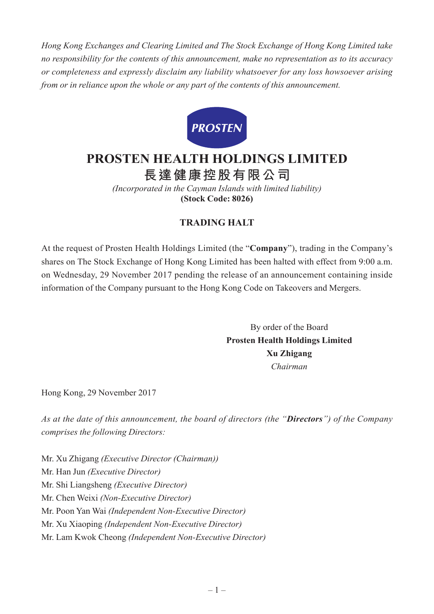*Hong Kong Exchanges and Clearing Limited and The Stock Exchange of Hong Kong Limited take no responsibility for the contents of this announcement, make no representation as to its accuracy or completeness and expressly disclaim any liability whatsoever for any loss howsoever arising from or in reliance upon the whole or any part of the contents of this announcement.*



## **PROSTEN HEALTH HOLDINGS LIMITED**

**長達健康控股有限公司**

*(Incorporated in the Cayman Islands with limited liability)* **(Stock Code: 8026)**

## **TRADING HALT**

At the request of Prosten Health Holdings Limited (the "**Company**"), trading in the Company's shares on The Stock Exchange of Hong Kong Limited has been halted with effect from 9:00 a.m. on Wednesday, 29 November 2017 pending the release of an announcement containing inside information of the Company pursuant to the Hong Kong Code on Takeovers and Mergers.

> By order of the Board **Prosten Health Holdings Limited Xu Zhigang** *Chairman*

Hong Kong, 29 November 2017

*As at the date of this announcement, the board of directors (the "Directors") of the Company comprises the following Directors:*

Mr. Xu Zhigang *(Executive Director (Chairman))* Mr. Han Jun *(Executive Director)* Mr. Shi Liangsheng *(Executive Director)* Mr. Chen Weixi *(Non-Executive Director)* Mr. Poon Yan Wai *(Independent Non-Executive Director)* Mr. Xu Xiaoping *(Independent Non-Executive Director)* Mr. Lam Kwok Cheong *(Independent Non-Executive Director)*